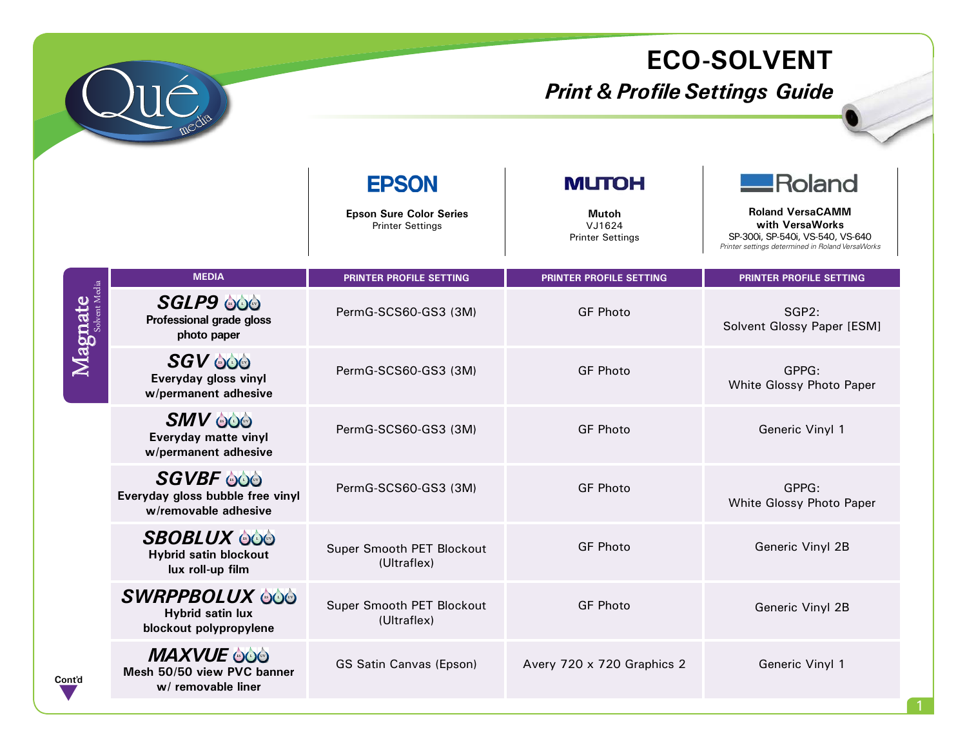

## **ECO-SOLVENT**

## *Print & Profile Settings Guide*

|         |                                                                              | <b>EPSON</b><br><b>Epson Sure Color Series</b><br><b>Printer Settings</b> | <b>MUTOH</b><br>Mutoh<br>VJ1624<br><b>Printer Settings</b> | <b>__Roland</b><br><b>Roland VersaCAMM</b><br>with VersaWorks<br>SP-300i, SP-540i, VS-540, VS-640<br>Printer settings determined in Roland VersaWorks |
|---------|------------------------------------------------------------------------------|---------------------------------------------------------------------------|------------------------------------------------------------|-------------------------------------------------------------------------------------------------------------------------------------------------------|
|         | <b>MEDIA</b>                                                                 | <b>PRINTER PROFILE SETTING</b>                                            | <b>PRINTER PROFILE SETTING</b>                             | <b>PRINTER PROFILE SETTING</b>                                                                                                                        |
| Magnate | <b>SGLP9 000</b><br>Professional grade gloss<br>photo paper                  | PermG-SCS60-GS3 (3M)                                                      | <b>GF Photo</b>                                            | SGP2:<br>Solvent Glossy Paper [ESM]                                                                                                                   |
|         | <b>SGV 000</b><br>Everyday gloss vinyl<br>w/permanent adhesive               | PermG-SCS60-GS3 (3M)                                                      | <b>GF Photo</b>                                            | GPPG:<br>White Glossy Photo Paper                                                                                                                     |
|         | <b>SMV OOO</b><br>Everyday matte vinyl<br>w/permanent adhesive               | PermG-SCS60-GS3 (3M)                                                      | <b>GF Photo</b>                                            | Generic Vinyl 1                                                                                                                                       |
|         | <b>SGVBF</b> 000<br>Everyday gloss bubble free vinyl<br>w/removable adhesive | PermG-SCS60-GS3 (3M)                                                      | <b>GF Photo</b>                                            | GPPG:<br>White Glossy Photo Paper                                                                                                                     |
|         | <b>SBOBLUX 600</b><br><b>Hybrid satin blockout</b><br>lux roll-up film       | Super Smooth PET Blockout<br>(Ultraflex)                                  | <b>GF Photo</b>                                            | Generic Vinyl 2B                                                                                                                                      |
|         | <b>SWRPPBOLUX 000</b><br><b>Hybrid satin lux</b><br>blockout polypropylene   | Super Smooth PET Blockout<br>(Ultraflex)                                  | <b>GF Photo</b>                                            | Generic Vinyl 2B                                                                                                                                      |
| Cont'd  | <b>MAXVUE 606</b><br>Mesh 50/50 view PVC banner<br>w/ removable liner        | <b>GS Satin Canvas (Epson)</b>                                            | Avery 720 x 720 Graphics 2                                 | Generic Vinyl 1                                                                                                                                       |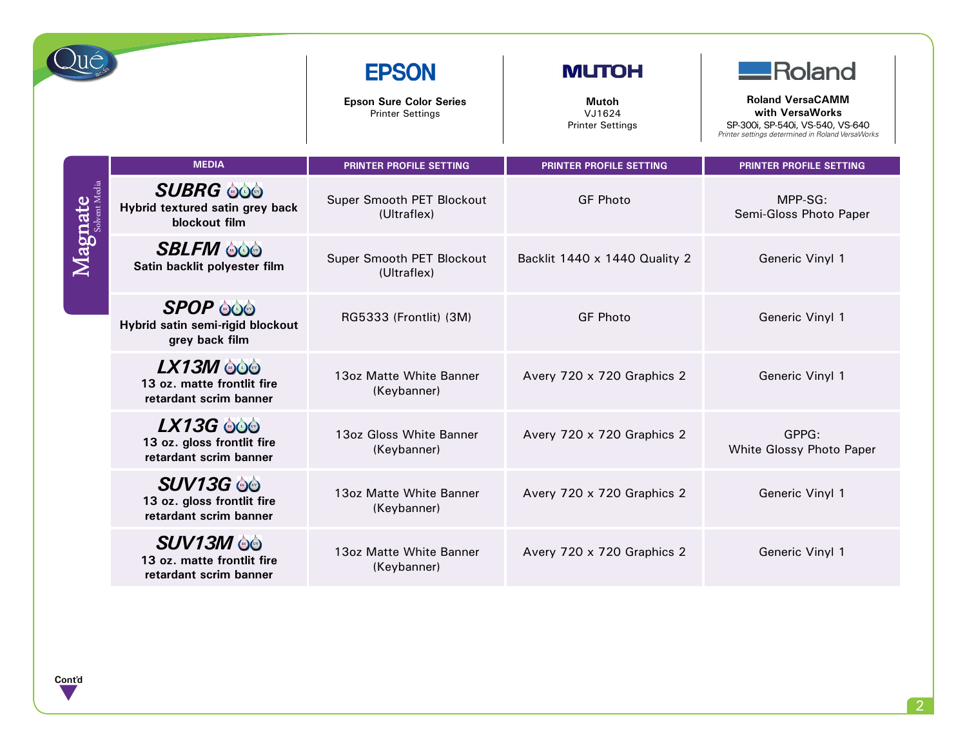|         |                                                                          | <b>EPSON</b><br><b>Epson Sure Color Series</b><br><b>Printer Settings</b> | <b>MUTOH</b><br>Mutoh<br>VJ1624<br><b>Printer Settings</b> | $\blacksquare$ Roland<br><b>Roland VersaCAMM</b><br>with VersaWorks<br>SP-300i, SP-540i, VS-540, VS-640<br>Printer settings determined in Roland VersaWorks |
|---------|--------------------------------------------------------------------------|---------------------------------------------------------------------------|------------------------------------------------------------|-------------------------------------------------------------------------------------------------------------------------------------------------------------|
|         | <b>MEDIA</b>                                                             | <b>PRINTER PROFILE SETTING</b>                                            | PRINTER PROFILE SETTING                                    | PRINTER PROFILE SETTING                                                                                                                                     |
| Magnate | <b>SUBRG @@</b><br>Hybrid textured satin grey back<br>blockout film      | Super Smooth PET Blockout<br>(Ultraflex)                                  | <b>GF Photo</b>                                            | $MPP-SG:$<br>Semi-Gloss Photo Paper                                                                                                                         |
|         | <b>SBLFM 000</b><br>Satin backlit polyester film                         | Super Smooth PET Blockout<br>(Ultraflex)                                  | Backlit 1440 x 1440 Quality 2                              | Generic Vinyl 1                                                                                                                                             |
|         | <b>SPOP 600</b><br>Hybrid satin semi-rigid blockout<br>grey back film    | RG5333 (Frontlit) (3M)                                                    | <b>GF Photo</b>                                            | Generic Vinyl 1                                                                                                                                             |
|         | LX13M 000<br>13 oz. matte frontlit fire<br>retardant scrim banner        | 13oz Matte White Banner<br>(Keybanner)                                    | Avery 720 x 720 Graphics 2                                 | Generic Vinyl 1                                                                                                                                             |
|         | <b>LX13G 606</b><br>13 oz. gloss frontlit fire<br>retardant scrim banner | 13oz Gloss White Banner<br>(Keybanner)                                    | Avery 720 x 720 Graphics 2                                 | GPPG:<br>White Glossy Photo Paper                                                                                                                           |
|         | <b>SUV13G 00</b><br>13 oz. gloss frontlit fire<br>retardant scrim banner | 13oz Matte White Banner<br>(Keybanner)                                    | Avery 720 x 720 Graphics 2                                 | Generic Vinyl 1                                                                                                                                             |
|         | <b>SUV13M ee</b><br>13 oz. matte frontlit fire<br>retardant scrim banner | 13oz Matte White Banner<br>(Keybanner)                                    | Avery 720 x 720 Graphics 2                                 | Generic Vinyl 1                                                                                                                                             |

**Cont'd** q